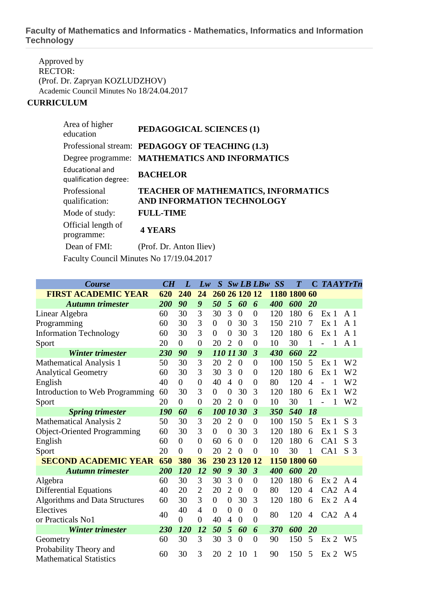## **Faculty of Mathematics and Informatics - Mathematics, Informatics and Information Technology**

Approved by RECTOR: (Prof. Dr. Zapryan KOZLUDZHOV) Academic Council Minutes No 18/24.04.2017

## **CURRICULUM**

| Area of higher<br>education              | PEDAGOGICAL SCIENCES (1)                                                 |
|------------------------------------------|--------------------------------------------------------------------------|
|                                          | Professional stream: PEDAGOGY OF TEACHING (1.3)                          |
|                                          | Degree programme: MATHEMATICS AND INFORMATICS                            |
| Educational and<br>qualification degree: | <b>BACHELOR</b>                                                          |
| Professional<br>qualification:           | <b>TEACHER OF MATHEMATICS, INFORMATICS</b><br>AND INFORMATION TECHNOLOGY |
| Mode of study:                           | <b>FULL-TIME</b>                                                         |
| Official length of<br>programme:         | <b>4 YEARS</b>                                                           |
| Dean of FMI:                             | (Prof. Dr. Anton Iliev)                                                  |
|                                          | Faculty Council Minutes No 17/19.04.2017                                 |

| <b>Course</b>                                            | CH        | L              | Lw             | $\boldsymbol{S}$ |                  |                | $Sw$ LB LB $w$          | SS           | $\overline{T}$ |              | <b>C</b> TAAYTrTn |                |
|----------------------------------------------------------|-----------|----------------|----------------|------------------|------------------|----------------|-------------------------|--------------|----------------|--------------|-------------------|----------------|
| <b>FIRST ACADEMIC YEAR</b>                               | 620       | 240            | 24             | 260              |                  | 26 120 12      |                         |              | 1180 1800 60   |              |                   |                |
| <b>Autumn trimester</b>                                  | 200       | 90             | 9              | 50               | 5                | 60             | 6                       | 400          | 600            | 20           |                   |                |
| Linear Algebra                                           | 60        | 30             | 3              | 30               | 3                | $\theta$       | $\overline{0}$          | 120          | 180            | 6            | Ex <sub>1</sub>   | $\mathbf{A}$ 1 |
| Programming                                              | 60        | 30             | 3              | $\theta$         | $\boldsymbol{0}$ | 30             | 3                       | 150          | 210            | 7            | Ex <sub>1</sub>   | A 1            |
| <b>Information Technology</b>                            | 60        | 30             | 3              | $\Omega$         | $\overline{0}$   | 30             | 3                       | 120          | 180            | 6            | Ex <sub>1</sub>   | $\mathbf{A}$ 1 |
| Sport                                                    | 20        | $\overline{0}$ | $\overline{0}$ | 20               | $\overline{2}$   | $\overline{0}$ | $\overline{0}$          | 10           | 30             | $\mathbf{1}$ |                   | A <sub>1</sub> |
| <b>Winter trimester</b>                                  | 230       | 90             | 9              | 110 11 30        |                  |                | $\overline{\mathbf{3}}$ | 430          | 660            | 22           |                   |                |
| <b>Mathematical Analysis 1</b>                           | 50        | 30             | 3              | 20               | $\overline{2}$   | $\overline{0}$ | $\overline{0}$          | 100          | 150            | 5            | Ex <sub>1</sub>   | W2             |
| <b>Analytical Geometry</b>                               | 60        | 30             | 3              | 30               | 3                | $\overline{0}$ | $\overline{0}$          | 120          | 180            | 6            | Ex <sub>1</sub>   | W2             |
| English                                                  | 40        | $\Omega$       | $\theta$       | 40               | $\overline{A}$   | $\theta$       | $\overline{0}$          | 80           | 120            | 4            |                   | W <sub>2</sub> |
| Introduction to Web Programming                          | 60        | 30             | 3              | $\overline{0}$   | $\overline{0}$   | 30             | 3                       | 120          | 180            | 6            | Ex <sub>1</sub>   | W <sub>2</sub> |
| Sport                                                    | 20        | $\Omega$       | $\theta$       | 20               | $\overline{2}$   | $\theta$       | $\overline{0}$          | 10           | 30             | 1            | $\overline{a}$    | W <sub>2</sub> |
| <b>Spring trimester</b>                                  | 190       | 60             | 6              | 100 10 30        |                  |                | $\overline{\mathbf{3}}$ | 350          | 540            | 18           |                   |                |
| <b>Mathematical Analysis 2</b>                           | 50        | 30             | 3              | 20               | $\overline{2}$   | $\overline{0}$ | $\overline{0}$          | 100          | 150            | 5            | Ex <sub>1</sub>   | S <sub>3</sub> |
| <b>Object-Oriented Programming</b>                       | 60        | 30             | 3              | $\overline{0}$   | $\overline{0}$   | 30             | 3                       | 120          | 180            | 6            | Ex <sub>1</sub>   | S<br>3         |
| English                                                  | 60        | $\Omega$       | 0              | 60               | 6                | $\theta$       | $\boldsymbol{0}$        | 120          | 180            | 6            | CA1               | S<br>3         |
| Sport                                                    | 20<br>650 | $\theta$       | $\overline{0}$ | 20               | 2                | $\overline{0}$ | $\overline{0}$          | 10           | 30             | 1            | CA1               | S <sub>3</sub> |
| <b>SECOND ACADEMIC YEAR</b>                              |           | 380            | 36             | 230              |                  | 23 120 12      |                         | 1150 1800 60 |                |              |                   |                |
| <b>Autumn trimester</b>                                  | 200       | 120            | 12             | 90               | 9                | 30             | $\mathfrak{Z}$          | 400          | 600            | 20           |                   |                |
| Algebra                                                  | 60        | 30             | 3              | 30               | 3                | $\overline{0}$ | $\overline{0}$          | 120          | 180            | 6            | Ex <sub>2</sub>   | A 4            |
| <b>Differential Equations</b>                            | 40        | 20             | $\overline{2}$ | 20               | $\overline{2}$   | $\overline{0}$ | $\overline{0}$          | 80           | 120            | 4            | CA2               | A $4$          |
| <b>Algorithms and Data Structures</b>                    | 60        | 30             | 3              | $\overline{0}$   | $\boldsymbol{0}$ | 30             | 3                       | 120          | 180            | 6            | Ex <sub>2</sub>   | A <sub>4</sub> |
| Electives                                                | 40        | 40             | $\overline{4}$ | $\theta$         | $\overline{0}$   | $\overline{0}$ | $\overline{0}$          | 80           | 120            | 4            | CA2               | A $4$          |
| or Practicals No1                                        |           | $\overline{0}$ | $\theta$       | 40               | $\overline{4}$   | $\overline{0}$ | $\overline{0}$          |              |                |              |                   |                |
| Winter trimester                                         | 230       | 120            | 12             | 50               | 5                | 60             | 6                       | 370          | 600            | 20           |                   |                |
| Geometry                                                 | 60        | 30             | 3              | 30               | 3                | $\overline{0}$ | $\overline{0}$          | 90           | 150            | 5            | Ex <sub>2</sub>   | W <sub>5</sub> |
| Probability Theory and<br><b>Mathematical Statistics</b> | 60        | 30             | 3              | 20               | 2                | 10             | 1                       | 90           | 150            | 5            | Ex <sub>2</sub>   | W5             |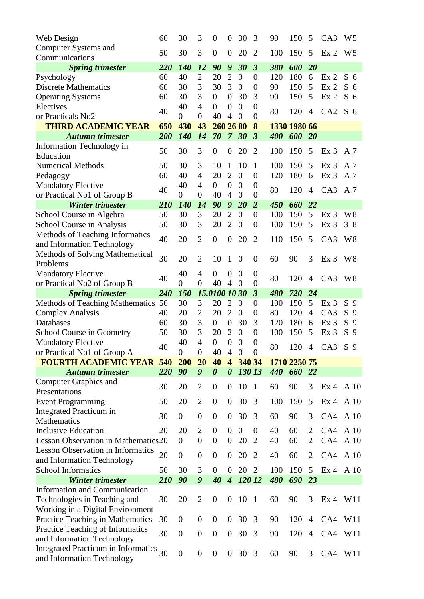| Web Design                                                               | 60       | 30                   | 3                                | $\theta$                             | $\boldsymbol{0}$                   | 30             | 3                                  | 90         | 150          | 5                                | CA3                                | W <sub>5</sub> |
|--------------------------------------------------------------------------|----------|----------------------|----------------------------------|--------------------------------------|------------------------------------|----------------|------------------------------------|------------|--------------|----------------------------------|------------------------------------|----------------|
| Computer Systems and                                                     | 50       | 30                   | 3                                | $\boldsymbol{0}$                     | $\boldsymbol{0}$                   | 20             | $\overline{2}$                     | 100        | 150          | 5                                | Ex <sub>2</sub>                    | W <sub>5</sub> |
| Communications                                                           |          |                      |                                  |                                      |                                    |                |                                    |            |              |                                  |                                    |                |
| <b>Spring trimester</b>                                                  | 220      | 140                  | 12                               | 90                                   | 9                                  | 30             | $\boldsymbol{\beta}$               | 380        | 600          | <b>20</b>                        |                                    |                |
| Psychology                                                               | 60       | 40                   | $\overline{2}$                   | 20                                   | $\overline{2}$                     | $\overline{0}$ | $\boldsymbol{0}$                   | 120        | 180          | 6                                | Ex <sub>2</sub>                    | S <sub>6</sub> |
| <b>Discrete Mathematics</b>                                              | 60       | 30                   | 3                                | 30                                   | 3                                  | $\overline{0}$ | $\boldsymbol{0}$                   | 90         | 150          | 5                                | Ex <sub>2</sub>                    | S <sub>6</sub> |
| <b>Operating Systems</b>                                                 | 60       | 30                   | 3                                | $\boldsymbol{0}$                     | $\theta$                           | 30             | 3                                  | 90         | 150          | 5                                | Ex <sub>2</sub>                    | S <sub>6</sub> |
| Electives                                                                | 40       | 40                   | $\overline{4}$                   | $\overline{0}$                       | $\boldsymbol{0}$                   | $\overline{0}$ | $\overline{0}$                     | 80         | 120          | $\overline{4}$                   | CA2                                | S <sub>6</sub> |
| or Practicals No2                                                        |          | $\overline{0}$       | $\boldsymbol{0}$                 | 40                                   | $\overline{4}$                     | $\overline{0}$ | $\overline{0}$                     |            |              |                                  |                                    |                |
| <b>THIRD ACADEMIC YEAR</b>                                               | 650      | 430                  | 43                               | 260 26 80                            |                                    |                | 8                                  |            | 1330 1980 66 |                                  |                                    |                |
| <b>Autumn trimester</b>                                                  | 200      | 140                  | 14                               | 70                                   | $\overline{7}$                     | 30             | $\boldsymbol{\beta}$               | 400        | 600          | <b>20</b>                        |                                    |                |
| Information Technology in                                                | 50       | 30                   | 3                                | $\boldsymbol{0}$                     | $\boldsymbol{0}$                   | 20             | $\overline{2}$                     | 100        | 150          | 5                                | Ex <sub>3</sub>                    | A 7            |
| Education                                                                |          |                      |                                  |                                      |                                    |                |                                    |            |              |                                  |                                    |                |
| <b>Numerical Methods</b>                                                 | 50<br>60 | 30<br>40             | 3<br>$\overline{4}$              | 10<br>20                             | 1<br>$\overline{2}$                | 10<br>$\theta$ | 1<br>$\boldsymbol{0}$              | 100<br>120 | 150<br>180   | 5<br>6                           | Ex <sub>3</sub><br>Ex <sub>3</sub> | A 7<br>A 7     |
| Pedagogy                                                                 |          | 40                   | $\overline{4}$                   | $\overline{0}$                       | $\overline{0}$                     | $\overline{0}$ | $\overline{0}$                     |            |              |                                  |                                    |                |
| <b>Mandatory Elective</b><br>or Practical No1 of Group B                 | 40       | $\overline{0}$       | $\overline{0}$                   | 40                                   | $\overline{4}$                     | $\theta$       | $\overline{0}$                     | 80         | 120          | $\overline{4}$                   | CA3                                | A 7            |
| <b>Winter trimester</b>                                                  | 210      | 140                  | 14                               | 90                                   | 9                                  | 20             | $\overline{2}$                     | 450        | 660          | 22                               |                                    |                |
| School Course in Algebra                                                 | 50       | 30                   | 3                                | 20                                   | $\overline{2}$                     | $\overline{0}$ | $\boldsymbol{0}$                   | 100        | 150          | 5                                | Ex <sub>3</sub>                    | W <sup>8</sup> |
| School Course in Analysis                                                | 50       | 30                   | 3                                | 20                                   | $\overline{2}$                     | $\theta$       | $\overline{0}$                     | 100        | 150          | 5                                | Ex <sub>3</sub>                    | 38             |
| Methods of Teaching Informatics                                          |          |                      |                                  |                                      |                                    |                |                                    |            |              |                                  |                                    |                |
| and Information Technology                                               | 40       | 20                   | $\overline{2}$                   | $\boldsymbol{0}$                     | $\overline{0}$                     | 20             | $\overline{2}$                     | 110        | 150          | 5                                | CA <sub>3</sub>                    | W <sub>8</sub> |
| <b>Methods of Solving Mathematical</b>                                   |          |                      |                                  |                                      |                                    |                |                                    |            |              |                                  |                                    |                |
| Problems                                                                 | 30       | 20                   | $\overline{2}$                   | 10                                   | 1                                  | $\overline{0}$ | $\overline{0}$                     | 60         | 90           | 3                                | Ex <sub>3</sub>                    | W8             |
| <b>Mandatory Elective</b>                                                |          | 40                   | $\overline{4}$                   | $\overline{0}$                       | 0                                  | $\overline{0}$ | $\boldsymbol{0}$                   |            |              |                                  |                                    |                |
| or Practical No2 of Group B                                              | 40       | $\overline{0}$       | $\overline{0}$                   | 40                                   | $\overline{4}$                     | $\overline{0}$ | $\overline{0}$                     | 80         | 120          | 4                                | CA3 W8                             |                |
| <b>Spring trimester</b>                                                  | 240      | 150                  |                                  | 15.0100 10 30                        |                                    |                | $\boldsymbol{\beta}$               | 480        | 720          | 24                               |                                    |                |
| <b>Methods of Teaching Mathematics</b>                                   | 50       | 30                   | 3                                | 20                                   | $\overline{2}$                     | $\theta$       | $\boldsymbol{0}$                   | 100        | 150          | 5                                | Ex <sub>3</sub>                    | S <sub>9</sub> |
| <b>Complex Analysis</b>                                                  | 40       | 20                   | $\overline{2}$                   | 20                                   | $\overline{2}$                     | $\theta$       | $\boldsymbol{0}$                   | 80         | 120          | $\overline{4}$                   | CA3                                | S <sub>9</sub> |
| Databases                                                                | 60       | 30                   | 3                                | $\overline{0}$                       | $\boldsymbol{0}$                   | 30             | 3                                  | 120        | 180          | 6                                | Ex <sub>3</sub>                    | S <sub>9</sub> |
| School Course in Geometry                                                | 50       | 30                   | 3                                | 20                                   | $\overline{2}$                     | $\overline{0}$ | $\boldsymbol{0}$                   | 100        | 150          | 5                                | Ex <sub>3</sub>                    | S <sub>9</sub> |
| <b>Mandatory Elective</b>                                                | 40       | 40                   | $\overline{4}$                   | $\overline{0}$                       | $\overline{0}$                     | $\theta$       | $\boldsymbol{0}$                   | 80         | 120          | 4                                | CA3                                | S <sub>9</sub> |
| or Practical No1 of Group A                                              |          | $\overline{0}$       | $\boldsymbol{0}$                 | 40                                   | $\overline{4}$                     | $\theta$       | $\boldsymbol{0}$                   |            |              |                                  |                                    |                |
| <b>FOURTH ACADEMIC YEAR</b>                                              | 540      | 200                  | 20                               | 40                                   | $\overline{\mathbf{4}}$            | 340 34         |                                    |            | 1710 2250 75 |                                  |                                    |                |
| <b>Autumn trimester</b>                                                  | 220      | 90                   | $\boldsymbol{g}$                 | $\boldsymbol{\theta}$                | $\boldsymbol{\theta}$              | 130 13         |                                    | 440        | 660          | 22                               |                                    |                |
| <b>Computer Graphics and</b>                                             | 30       | 20                   | $\overline{2}$                   | $\theta$                             | $\overline{0}$                     | 10             | $\overline{1}$                     | 60         | 90           | 3                                | Ex 4 A 10                          |                |
| Presentations                                                            |          |                      |                                  |                                      |                                    |                |                                    |            |              |                                  |                                    |                |
| <b>Event Programming</b>                                                 | 50       | 20                   | $\overline{2}$                   | $\theta$                             | $\overline{0}$                     | 30             | 3                                  | 100        | 150          | 5                                | Ex 4 A 10                          |                |
| <b>Integrated Practicum in</b>                                           | 30       | $\overline{0}$       | $\overline{0}$                   | $\boldsymbol{0}$                     | $\overline{0}$                     | 30             | 3                                  | 60         | 90           | 3                                | CA4 A 10                           |                |
| <b>Mathematics</b>                                                       |          |                      |                                  |                                      |                                    | $\overline{0}$ |                                    |            |              |                                  |                                    |                |
| <b>Inclusive Education</b><br><b>Lesson Observation in Mathematics20</b> | 20       | 20<br>$\overline{0}$ | $\overline{2}$<br>$\overline{0}$ | $\boldsymbol{0}$<br>$\boldsymbol{0}$ | $\overline{0}$<br>$\boldsymbol{0}$ | 20             | $\boldsymbol{0}$<br>$\overline{2}$ | 40         | 60           | $\overline{2}$<br>$\overline{2}$ | CA4 A 10<br>CA4                    |                |
| <b>Lesson Observation in Informatics</b>                                 |          |                      |                                  |                                      |                                    |                |                                    | 40         | 60           |                                  |                                    | A 10           |
| and Information Technology                                               | 20       | $\overline{0}$       | $\overline{0}$                   | $\boldsymbol{0}$                     | $\overline{0}$                     | 20             | $\overline{2}$                     | 40         | 60           | 2                                | CA4 A 10                           |                |
| <b>School Informatics</b>                                                | 50       | 30                   | 3                                | $\overline{0}$                       | $\overline{0}$                     | 20             | $\overline{2}$                     | 100        | 150          | $\mathfrak{S}$                   | Ex 4 A 10                          |                |
| <b>Winter trimester</b>                                                  | 210      | 90                   | 9                                | 40                                   | $\boldsymbol{4}$                   | 12012          |                                    | 480        | 690          | 23                               |                                    |                |
| <b>Information and Communication</b>                                     |          |                      |                                  |                                      |                                    |                |                                    |            |              |                                  |                                    |                |
| Technologies in Teaching and                                             | 30       | 20                   | $\overline{2}$                   | $\boldsymbol{0}$                     | $\boldsymbol{0}$                   | 10             | $\overline{1}$                     | 60         | 90           | 3                                | Ex 4 W11                           |                |
| Working in a Digital Environment                                         |          |                      |                                  |                                      |                                    |                |                                    |            |              |                                  |                                    |                |
| Practice Teaching in Mathematics                                         | 30       | $\overline{0}$       | $\boldsymbol{0}$                 | $\theta$                             | $\boldsymbol{0}$                   | 30             | 3                                  | 90         | 120          | $\overline{4}$                   | CA4 W11                            |                |
| Practice Teaching of Informatics                                         |          |                      |                                  |                                      |                                    |                |                                    |            |              |                                  |                                    |                |
| and Information Technology                                               | 30       | $\boldsymbol{0}$     | $\overline{0}$                   | $\boldsymbol{0}$                     | $\overline{0}$                     | 30             | 3                                  | 90         | 120          | $\overline{4}$                   | CA4 W11                            |                |
| <b>Integrated Practicum in Informatics</b>                               | 30       |                      |                                  |                                      |                                    |                |                                    |            |              |                                  |                                    |                |
| and Information Technology                                               |          | $\boldsymbol{0}$     | $\overline{0}$                   | $\boldsymbol{0}$                     | $\overline{0}$                     | 30             | 3                                  | 60         | 90           | 3                                | CA4 W11                            |                |